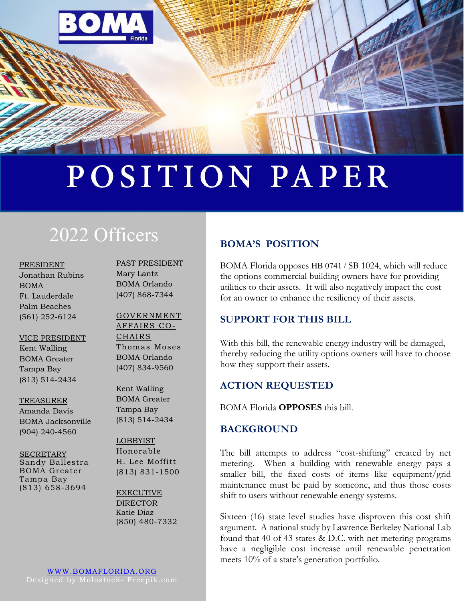

# POSITION PAPER

# 2022 Officers

PRESIDENT Jonathan Rubins BOMA Ft. Lauderdale Palm Beaches (561) 252-6124

#### VICE PRESIDENT

Kent Walling BOMA Greater Tampa Bay (813) 514-2434

#### TREASURER

Amanda Davis BOMA Jacksonville (904) 240-4560

#### **SECRETARY** Sandy Ballestra BOMA Greater Tampa Bay (813) 658-3694

PAST PRESIDENT Mary Lantz BOMA Orlando (407) 868-7344

#### GOVERNMENT AFFAIRS CO-CHAIRS Thomas Moses BOMA Orlando (407) 834-9560

Kent Walling BOMA Greater Tampa Bay (813) 514-2434

# LOBBYIST Honorable

H. Lee Moffitt (813) 831-1500

EXECUTIVE DIRECTOR Katie Diaz (850) 480-7332

## **BOMA'S POSITION**

BOMA Florida opposes HB 0741 / SB 1024, which will reduce the options commercial building owners have for providing utilities to their assets. It will also negatively impact the cost for an owner to enhance the resiliency of their assets.

#### **SUPPORT FOR THIS BILL**

With this bill, the renewable energy industry will be damaged, thereby reducing the utility options owners will have to choose how they support their assets.

### **ACTION REQUESTED**

BOMA Florida **OPPOSES** this bill.

### **BACKGROUND**

The bill attempts to address "cost-shifting" created by net metering. When a building with renewable energy pays a smaller bill, the fixed costs of items like equipment/grid maintenance must be paid by someone, and thus those costs shift to users without renewable energy systems.

Sixteen (16) state level studies have disproven this cost shift argument. A national study by Lawrence Berkeley National Lab found that 40 of 43 states & D.C. with net metering programs have a negligible cost increase until renewable penetration meets 10% of a state's generation portfolio.